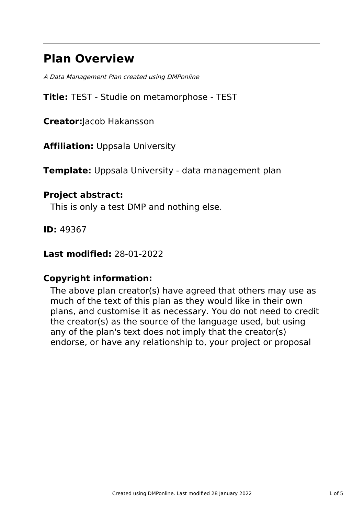# **Plan Overview**

A Data Management Plan created using DMPonline

**Title:** TEST - Studie on metamorphose - TEST

**Creator:**Jacob Hakansson

**Affiliation:** Uppsala University

**Template:** Uppsala University - data management plan

### **Project abstract:**

This is only a test DMP and nothing else.

**ID:** 49367

**Last modified:** 28-01-2022

# **Copyright information:**

The above plan creator(s) have agreed that others may use as much of the text of this plan as they would like in their own plans, and customise it as necessary. You do not need to credit the creator(s) as the source of the language used, but using any of the plan's text does not imply that the creator(s) endorse, or have any relationship to, your project or proposal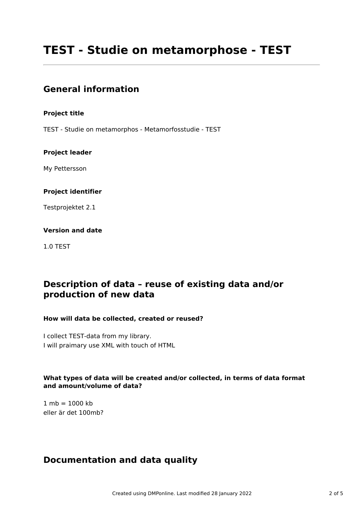# **TEST - Studie on metamorphose - TEST**

### **General information**

#### **Project title**

TEST - Studie on metamorphos - Metamorfosstudie - TEST

#### **Project leader**

My Pettersson

#### **Project identifier**

Testprojektet 2.1

#### **Version and date**

1.0 TEST

# **Description of data – reuse of existing data and/or production of new data**

#### **How will data be collected, created or reused?**

I collect TEST-data from my library. I will praimary use XML with touch of HTML

#### **What types of data will be created and/or collected, in terms of data format and amount/volume of data?**

 $1 mb = 1000 kb$ eller är det 100mb?

### **Documentation and data quality**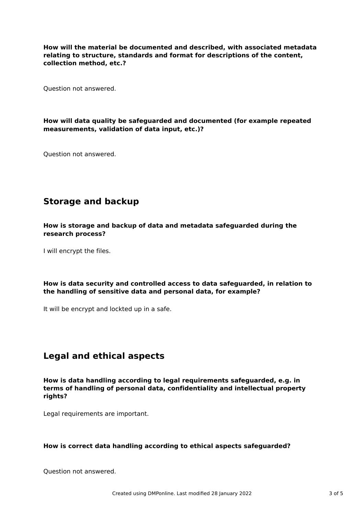**How will the material be documented and described, with associated metadata relating to structure, standards and format for descriptions of the content, collection method, etc.?**

Question not answered.

#### **How will data quality be safeguarded and documented (for example repeated measurements, validation of data input, etc.)?**

Question not answered.

# **Storage and backup**

**How is storage and backup of data and metadata safeguarded during the research process?**

I will encrypt the files.

#### **How is data security and controlled access to data safeguarded, in relation to the handling of sensitive data and personal data, for example?**

It will be encrypt and lockted up in a safe.

### **Legal and ethical aspects**

**How is data handling according to legal requirements safeguarded, e.g. in terms of handling of personal data, confidentiality and intellectual property rights?**

Legal requirements are important.

#### **How is correct data handling according to ethical aspects safeguarded?**

Question not answered.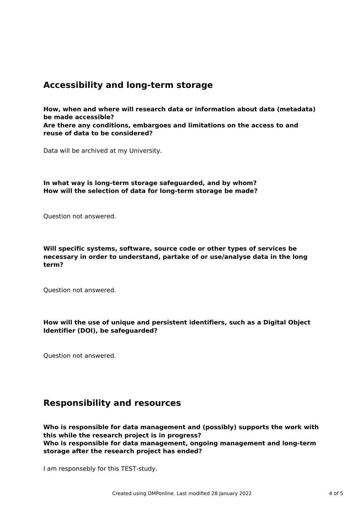### **Accessibility and long-term storage**

**How, when and where will research data or information about data (metadata) be made accessible?**

**Are there any conditions, embargoes and limitations on the access to and reuse of data to be considered?**

Data will be archived at my University.

**In what way is long-term storage safeguarded, and by whom? How will the selection of data for long-term storage be made?**

Question not answered.

**Will specific systems, software, source code or other types of services be necessary in order to understand, partake of or use/analyse data in the long term?**

Question not answered.

**How will the use of unique and persistent identifiers, such as a Digital Object Identifier (DOI), be safeguarded?**

Question not answered.

### **Responsibility and resources**

**Who is responsible for data management and (possibly) supports the work with this while the research project is in progress? Who is responsible for data management, ongoing management and long-term storage after the research project has ended?**

I am responsebly for this TEST-study.